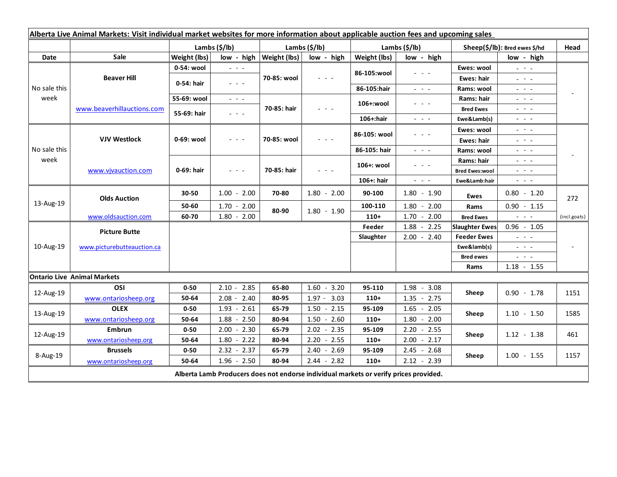| Alberta Live Animal Markets: Visit individual market websites for more information about applicable auction fees and upcoming sales |                            |               |                                                                                                                           |                           |                 |               |                                                                                                                                                      |                               |                                                                                                                           |              |
|-------------------------------------------------------------------------------------------------------------------------------------|----------------------------|---------------|---------------------------------------------------------------------------------------------------------------------------|---------------------------|-----------------|---------------|------------------------------------------------------------------------------------------------------------------------------------------------------|-------------------------------|---------------------------------------------------------------------------------------------------------------------------|--------------|
|                                                                                                                                     |                            | Lambs (\$/lb) |                                                                                                                           | Lambs (\$/lb)             |                 | Lambs (\$/lb) |                                                                                                                                                      | Sheep(\$/lb): Bred ewes \$/hd |                                                                                                                           | Head         |
| Date                                                                                                                                | Sale                       | Weight (lbs)  |                                                                                                                           | low - high   Weight (lbs) | low - high      | Weight (lbs)  | low - high                                                                                                                                           |                               | low - high                                                                                                                |              |
| No sale this<br>week                                                                                                                | <b>Beaver Hill</b>         | 0-54: wool    | $\omega_{\rm{c}}$ and $\omega_{\rm{c}}$                                                                                   | 70-85: wool               | $  -$           | 86-105:wool   | $\frac{1}{2} \left( \frac{1}{2} \right) \left( \frac{1}{2} \right) \left( \frac{1}{2} \right) \left( \frac{1}{2} \right)$                            | Ewes: wool                    | $\omega_{\rm{eff}}=0.1$                                                                                                   |              |
|                                                                                                                                     |                            | 0-54: hair    | $\frac{1}{2} \left( \frac{1}{2} \right) \left( \frac{1}{2} \right) \left( \frac{1}{2} \right) \left( \frac{1}{2} \right)$ |                           |                 |               |                                                                                                                                                      | Ewes: hair                    | 20 milion                                                                                                                 |              |
|                                                                                                                                     |                            |               |                                                                                                                           |                           |                 | 86-105:hair   | $\frac{1}{2} \left( \frac{1}{2} \right) = \frac{1}{2} \left( \frac{1}{2} \right) = \frac{1}{2}$                                                      | Rams: wool                    | $  -$                                                                                                                     |              |
|                                                                                                                                     | www.beaverhillauctions.com | 55-69: wool   | $\frac{1}{2} \left( \frac{1}{2} \right) \left( \frac{1}{2} \right) \left( \frac{1}{2} \right) \left( \frac{1}{2} \right)$ | 70-85: hair               | $  -$           | 106+:wool     | - - -                                                                                                                                                | Rams: hair                    | $  -$                                                                                                                     |              |
|                                                                                                                                     |                            | 55-69: hair   | $\omega_{\rm{c}}$ , $\omega_{\rm{c}}$ , $\omega_{\rm{c}}$                                                                 |                           |                 |               |                                                                                                                                                      | <b>Bred Ewes</b>              | $  -$                                                                                                                     |              |
|                                                                                                                                     |                            |               |                                                                                                                           |                           |                 | 106+:hair     | $\frac{1}{2} \left( \frac{1}{2} \right) \left( \frac{1}{2} \right) \left( \frac{1}{2} \right) \left( \frac{1}{2} \right) \left( \frac{1}{2} \right)$ | Ewe&Lamb(s)                   | $\frac{1}{2} \left( \frac{1}{2} \right) \left( \frac{1}{2} \right) \left( \frac{1}{2} \right) \left( \frac{1}{2} \right)$ |              |
| No sale this<br>week                                                                                                                | <b>VJV Westlock</b>        | 0-69: wool    | $\frac{1}{2} \left( \frac{1}{2} \right) \left( \frac{1}{2} \right) \left( \frac{1}{2} \right) \left( \frac{1}{2} \right)$ | 70-85: wool               | 2020a           | 86-105: wool  | $\frac{1}{2} \left( \frac{1}{2} \right) \left( \frac{1}{2} \right) \left( \frac{1}{2} \right) \left( \frac{1}{2} \right)$                            | Ewes: wool                    | $\frac{1}{2} \left( \frac{1}{2} \right) = \frac{1}{2} \left( \frac{1}{2} \right)$                                         |              |
|                                                                                                                                     |                            |               |                                                                                                                           |                           |                 |               |                                                                                                                                                      | <b>Ewes: hair</b>             | $\frac{1}{2} \left( \frac{1}{2} \right) = \frac{1}{2} \left( \frac{1}{2} \right)$                                         |              |
|                                                                                                                                     |                            |               |                                                                                                                           |                           |                 | 86-105: hair  | 20 A G                                                                                                                                               | Rams: wool                    | $  -$                                                                                                                     |              |
|                                                                                                                                     | www.vivauction.com         | 0-69: hair    | $  -$                                                                                                                     | 70-85: hair               | $  -$           | 106+: wool    | - - -                                                                                                                                                | Rams: hair                    | 20 A G                                                                                                                    |              |
|                                                                                                                                     |                            |               |                                                                                                                           |                           |                 |               |                                                                                                                                                      | <b>Bred Ewes:wool</b>         | - - -                                                                                                                     |              |
|                                                                                                                                     |                            |               |                                                                                                                           |                           |                 | 106+: hair    | $\omega_{\rm{eff}}$ and $\omega_{\rm{eff}}$                                                                                                          | Ewe&Lamb:hair                 | $\omega_{\rm{c}}$ , $\omega_{\rm{c}}$ , $\omega_{\rm{c}}$                                                                 |              |
| 13-Aug-19                                                                                                                           | <b>Olds Auction</b>        | 30-50         | $1.00 - 2.00$                                                                                                             | 70-80                     | $1.80 - 2.00$   | 90-100        | $1.80 - 1.90$                                                                                                                                        | Ewes                          | $0.80 - 1.20$                                                                                                             | 272          |
|                                                                                                                                     |                            | 50-60         | $1.70 - 2.00$                                                                                                             | 80-90                     | $1.80 - 1.90$   | 100-110       | $1.80 - 2.00$                                                                                                                                        | Rams                          | $0.90 - 1.15$                                                                                                             |              |
|                                                                                                                                     | www.oldsauction.com        | 60-70         | $1.80 - 2.00$                                                                                                             |                           |                 | $110+$        | $1.70 - 2.00$                                                                                                                                        | <b>Bred Ewes</b>              | $\frac{1}{2} \left( \frac{1}{2} \right) \left( \frac{1}{2} \right) \left( \frac{1}{2} \right)$                            | (incl.goats) |
| 10-Aug-19                                                                                                                           | <b>Picture Butte</b>       |               |                                                                                                                           |                           |                 | Feeder        | 1.88<br>$-2.25$                                                                                                                                      | <b>Slaughter Ewes</b>         | $0.96 - 1.05$                                                                                                             |              |
|                                                                                                                                     | www.picturebutteauction.ca |               |                                                                                                                           |                           |                 | Slaughter     | $2.00 - 2.40$                                                                                                                                        | <b>Feeder Ewes</b>            | $\omega_{\rm{eff}}$ and $\omega_{\rm{eff}}$                                                                               |              |
|                                                                                                                                     |                            |               |                                                                                                                           |                           |                 |               |                                                                                                                                                      | Ewe&lamb(s)                   | $\omega_{\rm{eff}}$ and $\omega_{\rm{eff}}$                                                                               |              |
|                                                                                                                                     |                            |               |                                                                                                                           |                           |                 |               |                                                                                                                                                      | <b>Bred ewes</b>              | $\frac{1}{2} \left( \frac{1}{2} \right) \left( \frac{1}{2} \right) \left( \frac{1}{2} \right) \left( \frac{1}{2} \right)$ |              |
|                                                                                                                                     |                            |               |                                                                                                                           |                           |                 |               |                                                                                                                                                      | Rams                          | $1.18 - 1.55$                                                                                                             |              |
| <b>Ontario Live Animal Markets</b>                                                                                                  |                            |               |                                                                                                                           |                           |                 |               |                                                                                                                                                      |                               |                                                                                                                           |              |
| 12-Aug-19                                                                                                                           | OSI                        | $0 - 50$      | $2.10 - 2.85$                                                                                                             | 65-80                     | $1.60 - 3.20$   | 95-110        | $1.98 - 3.08$                                                                                                                                        | Sheep                         | $0.90 - 1.78$                                                                                                             | 1151         |
|                                                                                                                                     | www.ontariosheep.org       | 50-64         | $2.08 - 2.40$                                                                                                             | 80-95                     | $1.97 - 3.03$   | $110+$        | $1.35 - 2.75$                                                                                                                                        |                               |                                                                                                                           |              |
| 13-Aug-19                                                                                                                           | <b>OLEX</b>                | $0 - 50$      | $1.93 - 2.61$                                                                                                             | 65-79                     | $1.50 - 2.15$   | 95-109        | $1.65 - 2.05$                                                                                                                                        | Sheep                         | $1.10 - 1.50$                                                                                                             | 1585         |
|                                                                                                                                     | www.ontariosheep.org       | 50-64         | 2.50<br>1.88<br>$\sim$                                                                                                    | 80-94                     | 1.50<br>$-2.60$ | $110+$        | 1.80<br>$-2.00$                                                                                                                                      |                               |                                                                                                                           |              |
| 12-Aug-19                                                                                                                           | <b>Embrun</b>              | $0 - 50$      | $2.00 - 2.30$                                                                                                             | 65-79                     | $2.02 - 2.35$   | 95-109        | $2.20 - 2.55$                                                                                                                                        | Sheep                         | $1.12 - 1.38$                                                                                                             | 461          |
|                                                                                                                                     | www.ontariosheep.org       | 50-64         | $1.80 - 2.22$                                                                                                             | 80-94                     | $2.20 - 2.55$   | $110+$        | $2.00 - 2.17$                                                                                                                                        |                               |                                                                                                                           |              |
| 8-Aug-19                                                                                                                            | <b>Brussels</b>            | $0 - 50$      | $2.32 - 2.37$                                                                                                             | 65-79                     | $2.40 - 2.69$   | 95-109        | $2.45 - 2.68$                                                                                                                                        | Sheep                         | $1.00 - 1.55$                                                                                                             | 1157         |
|                                                                                                                                     | www.ontariosheep.org       | 50-64         | $1.96 - 2.50$                                                                                                             | 80-94                     | $2.44 - 2.82$   | $110+$        | $2.12 - 2.39$                                                                                                                                        |                               |                                                                                                                           |              |
| Alberta Lamb Producers does not endorse individual markets or verify prices provided.                                               |                            |               |                                                                                                                           |                           |                 |               |                                                                                                                                                      |                               |                                                                                                                           |              |